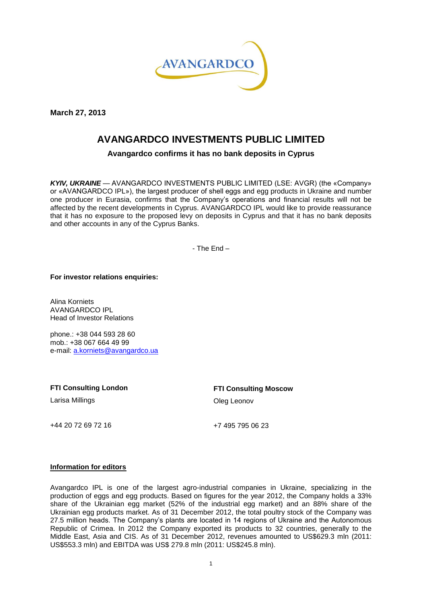

**March 27, 2013**

## **AVANGARDCO INVESTMENTS PUBLIC LIMITED**

**Avangardco confirms it has no bank deposits in Cyprus** 

*KYIV, UKRAINE* — AVANGARDCO INVESTMENTS PUBLIC LIMITED (LSE: AVGR) (the «Company» or «AVANGARDCO IPL»), the largest producer of shell eggs and egg products in Ukraine and number one producer in Eurasia, confirms that the Company's operations and financial results will not be affected by the recent developments in Cyprus. AVANGARDCO IPL would like to provide reassurance that it has no exposure to the proposed levy on deposits in Cyprus and that it has no bank deposits and other accounts in any of the Cyprus Banks.

- The End –

**For investor relations enquiries:**

Alina Korniets AVANGARDCO IPL Head of Investor Relations

phone.: +38 044 593 28 60 mob.: +38 067 664 49 99 e-mail: [a.korniets@avangardco.ua](mailto:a.korniets@avangardco.ua)

**FTI Consulting London**

Larisa Millings

**FTI Consulting Moscow** Oleg Leonov

+44 20 72 69 72 16

+7 495 795 06 23

## **Information for editors**

Avangardco IPL is one of the largest agro-industrial companies in Ukraine, specializing in the production of eggs and egg products. Based on figures for the year 2012, the Company holds a 33% share of the Ukrainian egg market (52% of the industrial egg market) and an 88% share of the Ukrainian egg products market. As of 31 December 2012, the total poultry stock of the Company was 27.5 million heads. The Company's plants are located in 14 regions of Ukraine and the Autonomous Republic of Crimea. In 2012 the Company exported its products to 32 countries, generally to the Middle East, Asia and CIS. As of 31 December 2012, revenues amounted to US\$629.3 mln (2011: US\$553.3 mln) and EBITDA was US\$ 279.8 mln (2011: US\$245.8 mln).